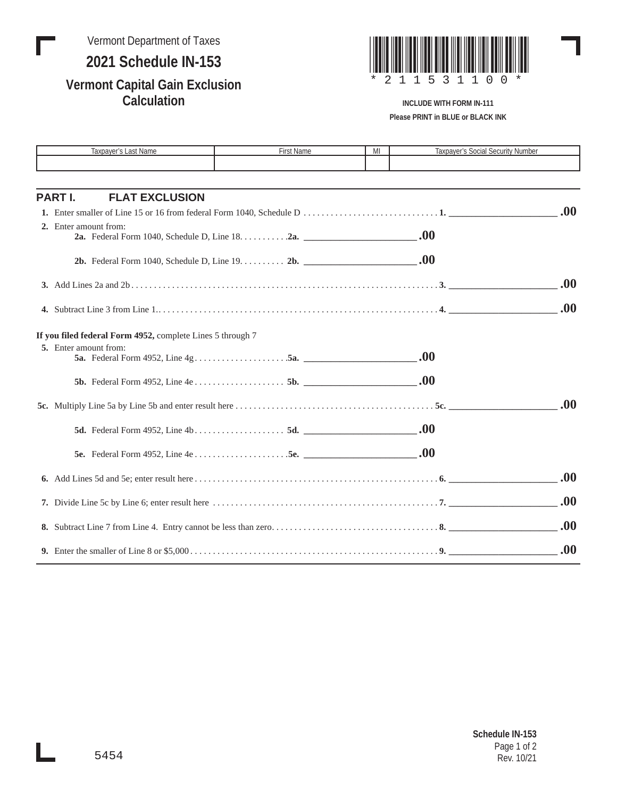Vermont Department of Taxes **2021 Schedule IN-153**

## **Vermont Capital Gain Exclusion Calculation**



## **INCLUDE WITH FORM IN-111 Please PRINT in BLUE or BLACK INK**

| Taxpayer's Last Name                                       | First Name | MI | <b>Taxpayer's Social Security Number</b> |      |
|------------------------------------------------------------|------------|----|------------------------------------------|------|
|                                                            |            |    |                                          |      |
|                                                            |            |    |                                          |      |
| <b>PART I.</b><br><b>FLAT EXCLUSION</b>                    |            |    |                                          |      |
|                                                            |            |    |                                          | .00. |
| 2. Enter amount from:                                      |            |    |                                          |      |
|                                                            |            |    |                                          |      |
|                                                            |            |    |                                          |      |
|                                                            |            |    |                                          | .00. |
|                                                            |            |    |                                          |      |
|                                                            |            |    |                                          | .00. |
| If you filed federal Form 4952, complete Lines 5 through 7 |            |    |                                          |      |
| 5. Enter amount from:                                      |            |    |                                          |      |
|                                                            |            |    |                                          |      |
|                                                            |            |    |                                          |      |
|                                                            |            |    |                                          |      |
|                                                            |            |    |                                          | .00. |
|                                                            |            |    |                                          |      |
|                                                            |            |    |                                          |      |
|                                                            |            |    |                                          |      |
|                                                            |            |    |                                          | .00. |
|                                                            |            |    |                                          |      |
|                                                            |            |    |                                          | .00  |
|                                                            |            |    |                                          | .00. |
|                                                            |            |    |                                          | .00. |
|                                                            |            |    |                                          |      |